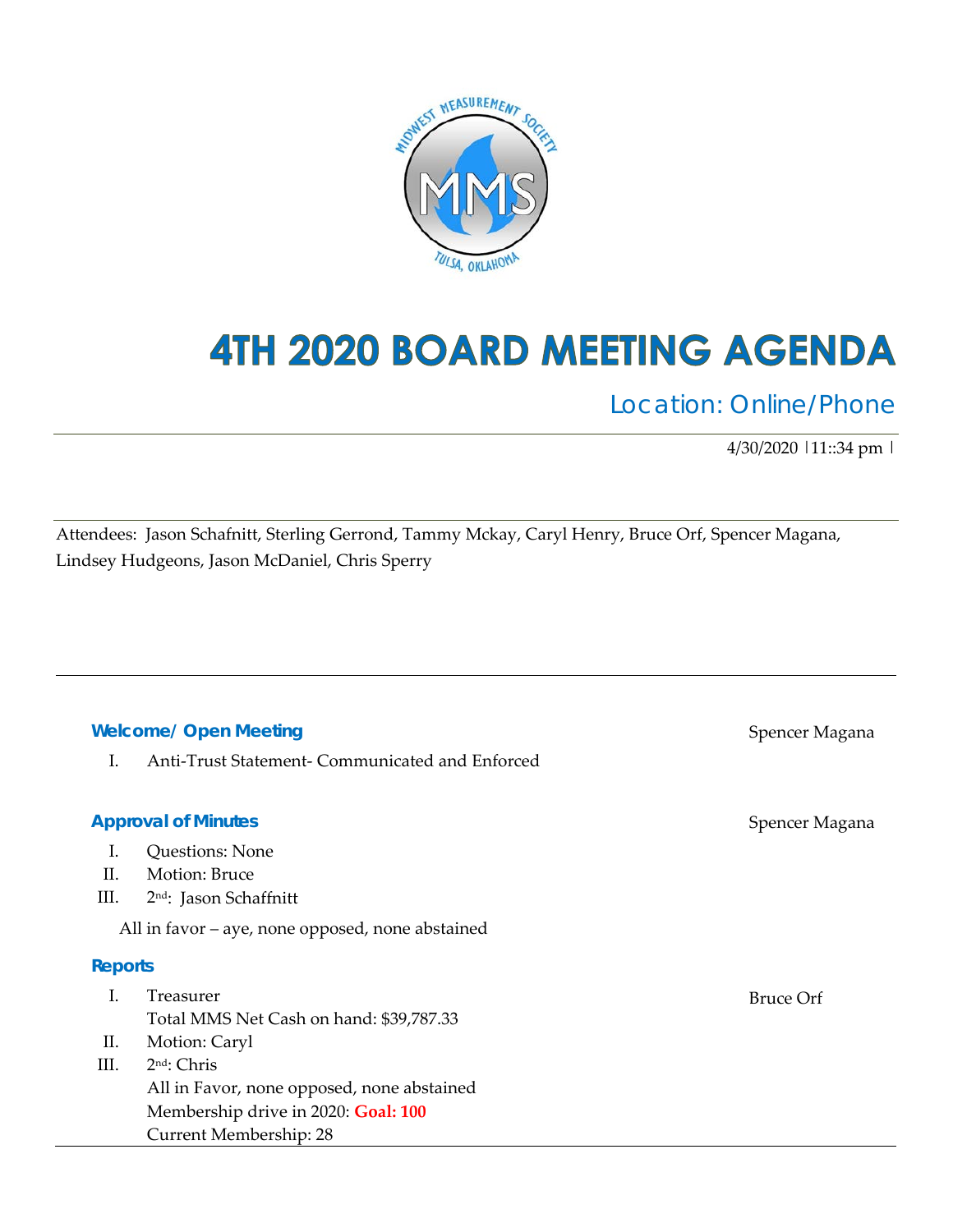

# 4TH 2020 BOARD MEETING AGENDA

Location: Online/Phone

4/30/2020 |11::34 pm |

Attendees: Jason Schafnitt, Sterling Gerrond, Tammy Mckay, Caryl Henry, Bruce Orf, Spencer Magana, Lindsey Hudgeons, Jason McDaniel, Chris Sperry

#### **Welcome/ Open Meeting**

I. Anti-Trust Statement- Communicated and Enforced

#### **Approval of Minutes**

- I. Questions: None
- II. Motion: Bruce
- III. 2nd: Jason Schaffnitt

All in favor – aye, none opposed, none abstained

#### **Reports**

|     | Freasurer                                  | Bruce Orf |
|-----|--------------------------------------------|-----------|
|     | Total MMS Net Cash on hand: \$39,787.33    |           |
| II. | Motion: Caryl                              |           |
| Ш.  | $2nd$ : Chris                              |           |
|     | All in Favor, none opposed, none abstained |           |
|     | Membership drive in 2020: Goal: 100        |           |
|     | Current Membership: 28                     |           |

Spencer Magana

Spencer Magana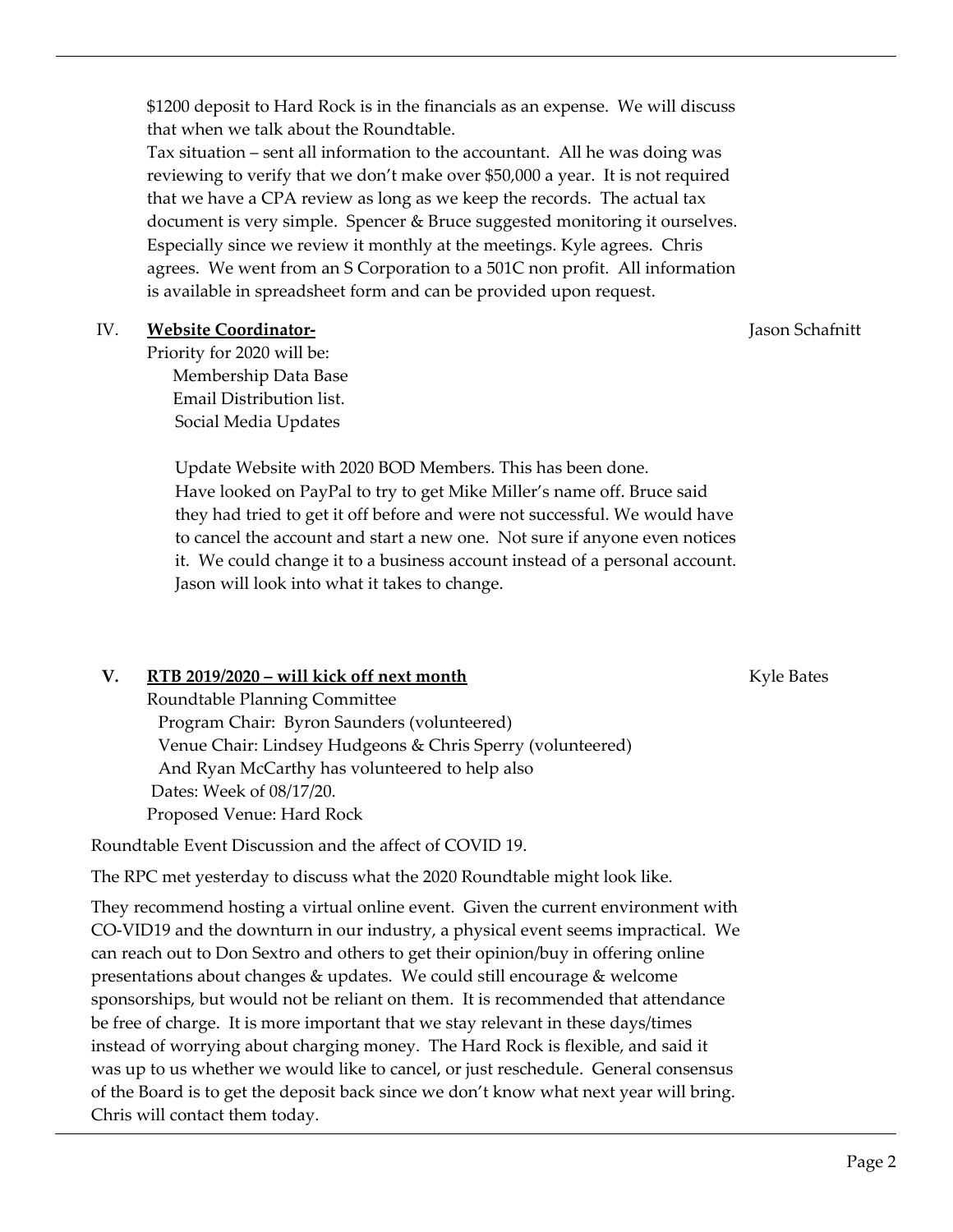\$1200 deposit to Hard Rock is in the financials as an expense. We will discuss that when we talk about the Roundtable.

Tax situation – sent all information to the accountant. All he was doing was reviewing to verify that we don't make over \$50,000 a year. It is not required that we have a CPA review as long as we keep the records. The actual tax document is very simple. Spencer & Bruce suggested monitoring it ourselves. Especially since we review it monthly at the meetings. Kyle agrees. Chris agrees. We went from an S Corporation to a 501C non profit. All information is available in spreadsheet form and can be provided upon request.

## IV. **Website Coordinator-**

Priority for 2020 will be: Membership Data Base Email Distribution list. Social Media Updates

> Update Website with 2020 BOD Members. This has been done. Have looked on PayPal to try to get Mike Miller's name off. Bruce said they had tried to get it off before and were not successful. We would have to cancel the account and start a new one. Not sure if anyone even notices it. We could change it to a business account instead of a personal account. Jason will look into what it takes to change.

## **V. RTB 2019/2020 – will kick off next month**

Roundtable Planning Committee Program Chair: Byron Saunders (volunteered) Venue Chair: Lindsey Hudgeons & Chris Sperry (volunteered) And Ryan McCarthy has volunteered to help also Dates: Week of 08/17/20. Proposed Venue: Hard Rock

Roundtable Event Discussion and the affect of COVID 19.

The RPC met yesterday to discuss what the 2020 Roundtable might look like.

They recommend hosting a virtual online event. Given the current environment with CO-VID19 and the downturn in our industry, a physical event seems impractical. We can reach out to Don Sextro and others to get their opinion/buy in offering online presentations about changes & updates. We could still encourage & welcome sponsorships, but would not be reliant on them. It is recommended that attendance be free of charge. It is more important that we stay relevant in these days/times instead of worrying about charging money. The Hard Rock is flexible, and said it was up to us whether we would like to cancel, or just reschedule. General consensus of the Board is to get the deposit back since we don't know what next year will bring. Chris will contact them today.

Kyle Bates

Jason Schafnitt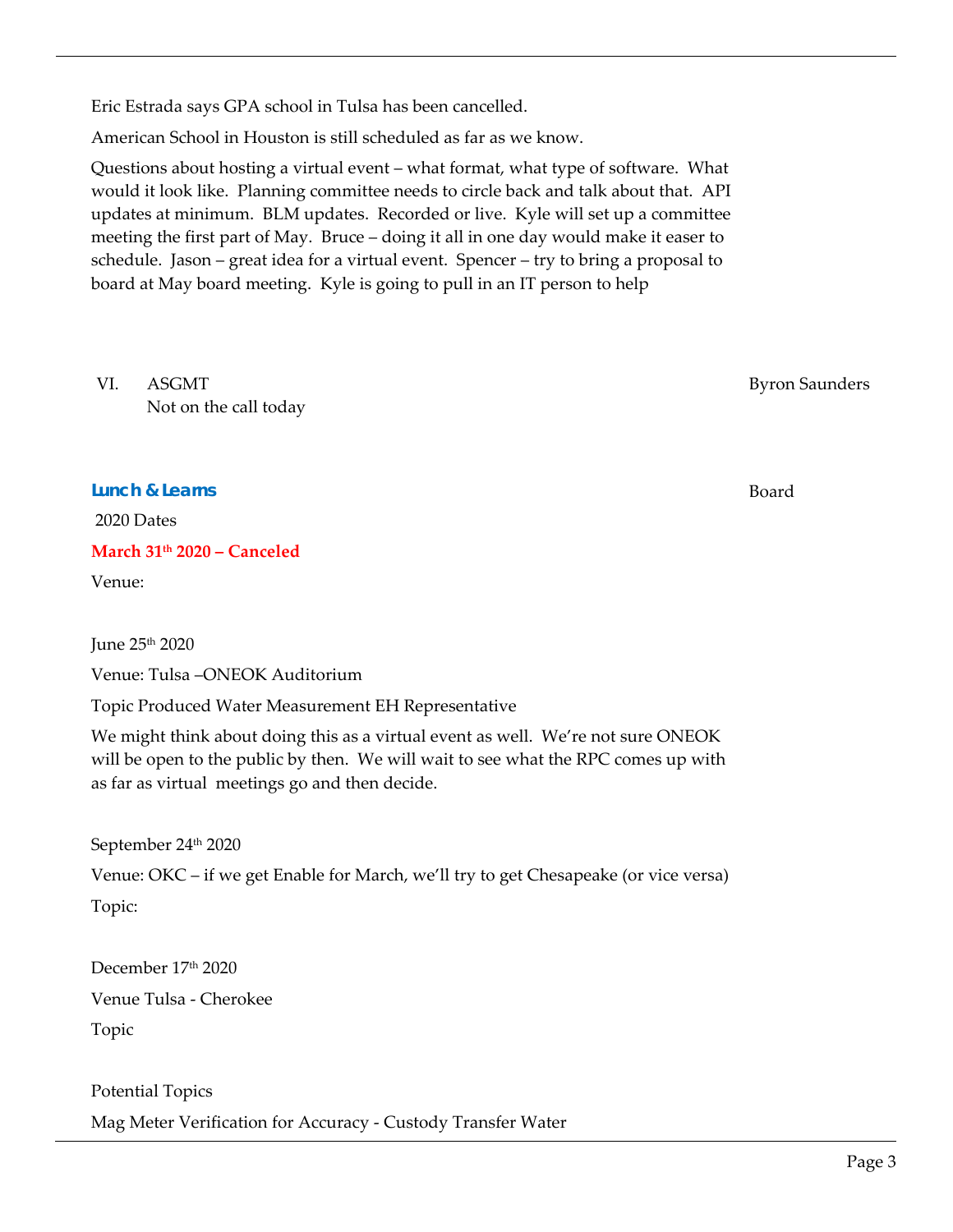Eric Estrada says GPA school in Tulsa has been cancelled.

American School in Houston is still scheduled as far as we know.

Questions about hosting a virtual event – what format, what type of software. What would it look like. Planning committee needs to circle back and talk about that. API updates at minimum. BLM updates. Recorded or live. Kyle will set up a committee meeting the first part of May. Bruce – doing it all in one day would make it easer to schedule. Jason – great idea for a virtual event. Spencer – try to bring a proposal to board at May board meeting. Kyle is going to pull in an IT person to help

VI. ASGMT Not on the call today

**Lunch & Learns** 

2020 Dates

**March 31th 2020 – Canceled** 

Venue:

June 25th 2020

Venue: Tulsa –ONEOK Auditorium

Topic Produced Water Measurement EH Representative

We might think about doing this as a virtual event as well. We're not sure ONEOK will be open to the public by then. We will wait to see what the RPC comes up with as far as virtual meetings go and then decide.

September 24th 2020

Venue: OKC – if we get Enable for March, we'll try to get Chesapeake (or vice versa)

Topic:

December 17th 2020 Venue Tulsa - Cherokee Topic

Potential Topics Mag Meter Verification for Accuracy - Custody Transfer Water Byron Saunders

Board